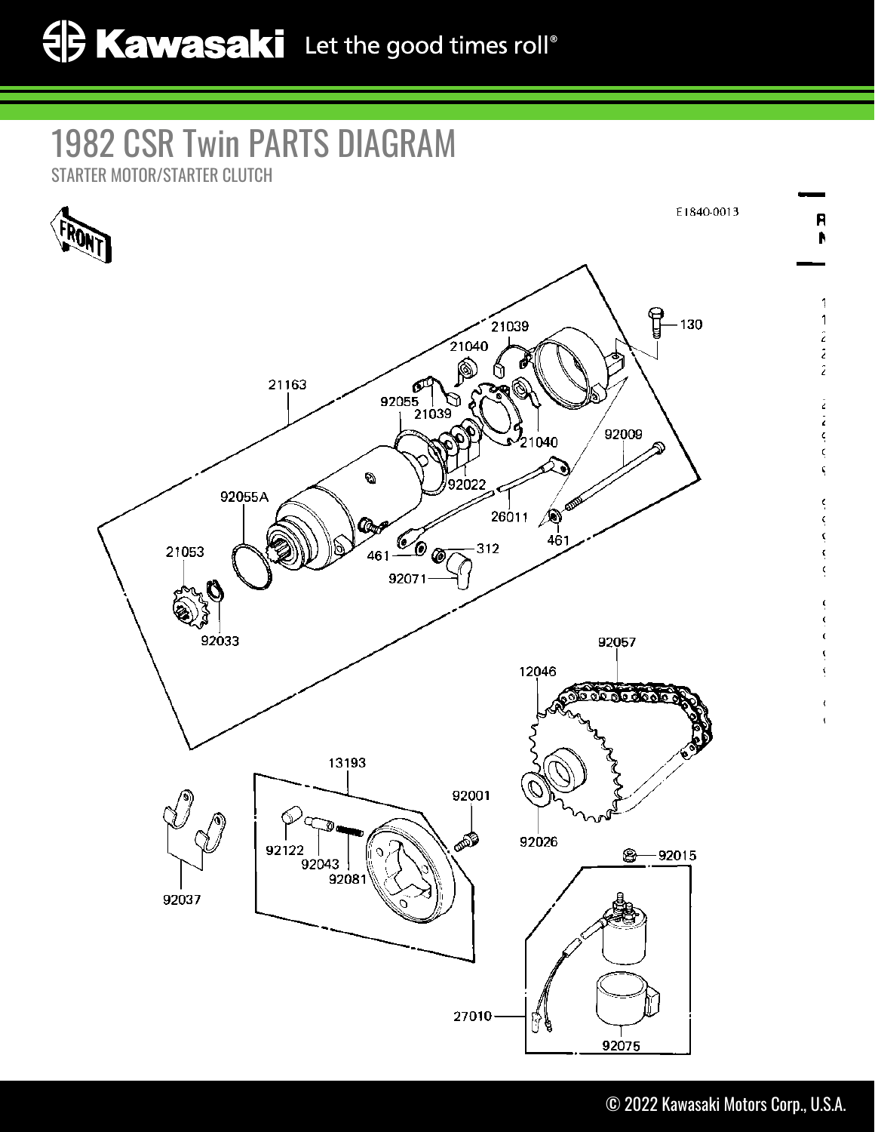## 1982 CSR Twin PARTS DIAGRAM

STARTER MOTOR/STARTER CLUTCH